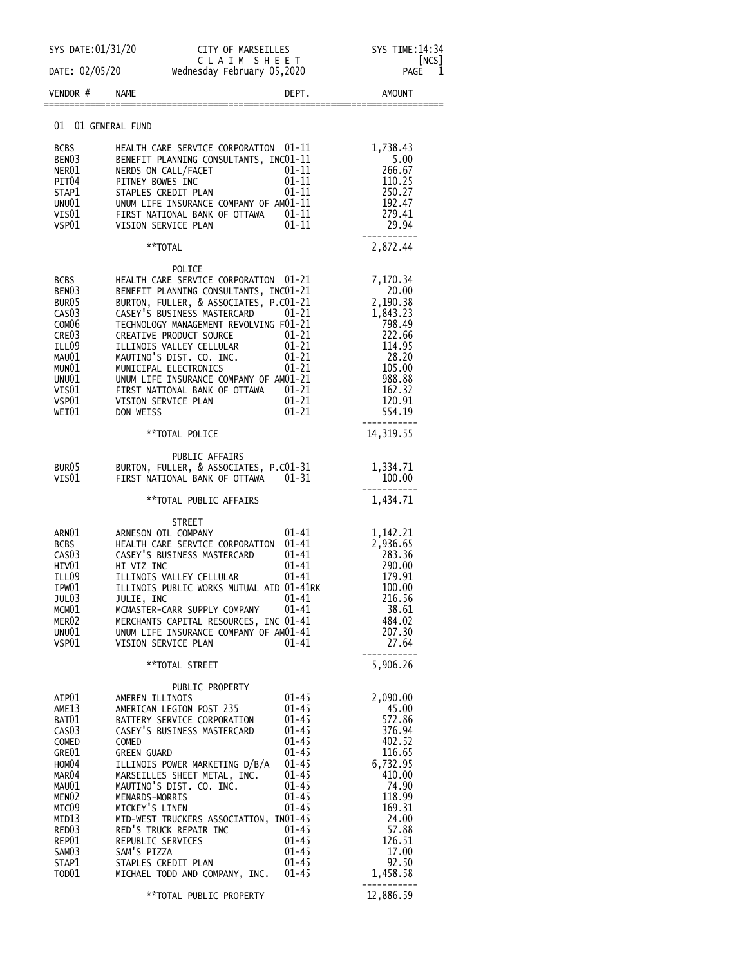| SYS DATE:01/31/20          | CITY OF MARSEILLES SYS TIME:14:34                                                                                                                                                                                                        |                            |
|----------------------------|------------------------------------------------------------------------------------------------------------------------------------------------------------------------------------------------------------------------------------------|----------------------------|
|                            | C L A I M S H E E T<br>DATE: 02/05/20 Wednesday February 05,2020                                                                                                                                                                         | [NCS]<br>PAGE<br>1         |
| VENDOR#                    | <b>NAME</b><br>DEPT.                                                                                                                                                                                                                     | <b>AMOUNT</b>              |
|                            | 01 01 GENERAL FUND                                                                                                                                                                                                                       |                            |
| BCBS                       | HEALTH CARE SERVICE CORPORATION 01-11                                                                                                                                                                                                    | 1,738.43                   |
| BEN03                      | BENEFIT PLANNING CONSULTANTS, INCO1-11                                                                                                                                                                                                   | 5.00                       |
| NER01                      | $01 - 11$<br>NERDS ON CALL/FACET                                                                                                                                                                                                         |                            |
| PIT04                      | $\overline{01}$ -11<br>01-11<br>PITNEY BOWES INC                                                                                                                                                                                         | $260.$<br>110.25           |
| STAP1                      | STAPLES CREDIT PLAN                                                                                                                                                                                                                      | 250.27<br>192.47           |
|                            |                                                                                                                                                                                                                                          | 279.41                     |
|                            | STAP1 STAPLES CREDIT PLAN 01-11<br>UNU01 UNUM LIFE INSURANCE COMPANY OF AMO1-11<br>VISO1 FIRST NATIONAL BANK OF OTTAWA 01-11<br>VSPO1 VISION SERVICE PLAN 01-11                                                                          | 29.94<br>-----------       |
|                            | **TOTAL                                                                                                                                                                                                                                  | 2,872.44                   |
|                            | POLICE                                                                                                                                                                                                                                   |                            |
| BCBS<br>BEN <sub>03</sub>  | HEALTH CARE SERVICE CORPORATION 01-21                                                                                                                                                                                                    | 7,170.34<br>20.00          |
| BUR05                      |                                                                                                                                                                                                                                          | 2,190.38                   |
| CAS <sub>03</sub>          |                                                                                                                                                                                                                                          | 1,843.23                   |
| COM <sub>06</sub>          |                                                                                                                                                                                                                                          | 798.49                     |
| CRE <sub>03</sub>          |                                                                                                                                                                                                                                          | 222.66                     |
| ILL09                      |                                                                                                                                                                                                                                          | 114.95                     |
| MAU01<br>MUNO1             |                                                                                                                                                                                                                                          | 28.20<br>105.00            |
| UNU01                      |                                                                                                                                                                                                                                          | 988.88                     |
| VIS $01\,$                 | HEALIH CARE SERVICE CORPORATION 01-21<br>BENEFIT PLANNING CONSULTANTS, INCO1-21<br>BURTON, FULLER, & ASSOCIATES, P.CO1-21<br>CASEY'S BUSINESS MASTERCARD 01-21<br>TECHNOLOGY MANAGEMENT REVOLVING F01-21<br>TECHNOLOGY MANAGEMENT REVOLV | 162.32                     |
| VSP01<br>WEI01             | $01 - 21$<br>VISION SERVICE PLAN<br>$01 - 21$<br>DON WEISS                                                                                                                                                                               | 120.91<br>554.19           |
|                            |                                                                                                                                                                                                                                          |                            |
|                            | **TOTAL POLICE                                                                                                                                                                                                                           | 14,319.55                  |
|                            | PUBLIC AFFAIRS                                                                                                                                                                                                                           |                            |
| BUR05<br>VISO1             | BURTON, FULLER, & ASSOCIATES, P.CO1-31<br>FIRST NATIONAL BANK OF OTTAWA<br>01–31                                                                                                                                                         | 1,334.71<br>100.00         |
|                            |                                                                                                                                                                                                                                          |                            |
|                            | **TOTAL PUBLIC AFFAIRS                                                                                                                                                                                                                   | 1,434.71                   |
|                            | <b>STREET</b><br>$01 - 41$                                                                                                                                                                                                               |                            |
| ARNO1<br>BCBS              | ARNESON OIL COMPANY<br>HEALTH CARE SERVICE CORPORATION 01-41                                                                                                                                                                             | 1,142.21<br>2,936.65       |
| CAS <sub>0</sub> 3         | CASEY'S BUSINESS MASTERCARD<br>01-41                                                                                                                                                                                                     | 283.36                     |
| HIV01                      | 01-41<br>HI VIZ INC                                                                                                                                                                                                                      | 283.36<br>290.00<br>170.01 |
| ILL09                      | 01-41<br>ILLINOIS VALLEY CELLULAR                                                                                                                                                                                                        | 179.91                     |
| IPW01                      | ILLINOIS PUBLIC WORKS MUTUAL AID 01-41RK<br>$01 - 41$                                                                                                                                                                                    | 100.00<br>216.56           |
| JUL03<br>MCM01             | JULIE, INC<br>$01 - 41$<br>MCMASTER-CARR SUPPLY COMPANY                                                                                                                                                                                  | 38.61                      |
| MER02                      | MERCHANTS CAPITAL RESOURCES, INC 01-41                                                                                                                                                                                                   | 484.02                     |
| UNU01                      | UNUM LIFE INSURANCE COMPANY OF AM01-41                                                                                                                                                                                                   | 207.30                     |
| VSP01                      | 01-41<br>VISION SERVICE PLAN                                                                                                                                                                                                             | 27.64                      |
|                            | **TOTAL STREET                                                                                                                                                                                                                           | 5,906.26                   |
| AIP01                      | PUBLIC PROPERTY<br>$01 - 45$<br>AMEREN ILLINOIS                                                                                                                                                                                          | 2,090.00                   |
| AME13                      | $01 - 45$<br>AMERICAN LEGION POST 235                                                                                                                                                                                                    | 45.00                      |
| BAT01                      | $01 - 45$<br>BATTERY SERVICE CORPORATION                                                                                                                                                                                                 | 572.86                     |
| CAS <sub>03</sub>          | CASEY'S BUSINESS MASTERCARD<br>$01 - 45$                                                                                                                                                                                                 | 376.94                     |
| COMED<br>GRE01             | $01 - 45$<br>COMED<br>$01 - 45$<br><b>GREEN GUARD</b>                                                                                                                                                                                    | 402.52<br>116.65           |
| HOM04                      | $01 - 45$<br>ILLINOIS POWER MARKETING D/B/A                                                                                                                                                                                              | 6,732.95                   |
| MAR04                      | $01 - 45$<br>MARSEILLES SHEET METAL, INC.                                                                                                                                                                                                | 410.00                     |
| MAU01                      | MAUTINO'S DIST. CO. INC.<br>$01 - 45$                                                                                                                                                                                                    | 74.90                      |
| MENO2                      | MENARDS-MORRIS<br>$01 - 45$                                                                                                                                                                                                              | 118.99                     |
| MICO9<br>MID13             | MICKEY'S LINEN<br>$01 - 45$<br>MID-WEST TRUCKERS ASSOCIATION, IN01-45                                                                                                                                                                    | 169.31<br>24.00            |
| RED <sub>03</sub>          | RED'S TRUCK REPAIR INC<br>$01 - 45$                                                                                                                                                                                                      | 57.88                      |
| REP01                      | $01 - 45$<br>REPUBLIC SERVICES                                                                                                                                                                                                           | 126.51                     |
| SAM03                      | SAM'S PIZZA<br>$01 - 45$                                                                                                                                                                                                                 | 17.00                      |
| STAP1<br>TOD <sub>01</sub> | STAPLES CREDIT PLAN<br>$01 - 45$                                                                                                                                                                                                         | 92.50                      |
|                            | MICHAEL TODD AND COMPANY, INC.<br>$01 - 45$                                                                                                                                                                                              | 1,458.58                   |
|                            | **TOTAL PUBLIC PROPERTY                                                                                                                                                                                                                  | 12,886.59                  |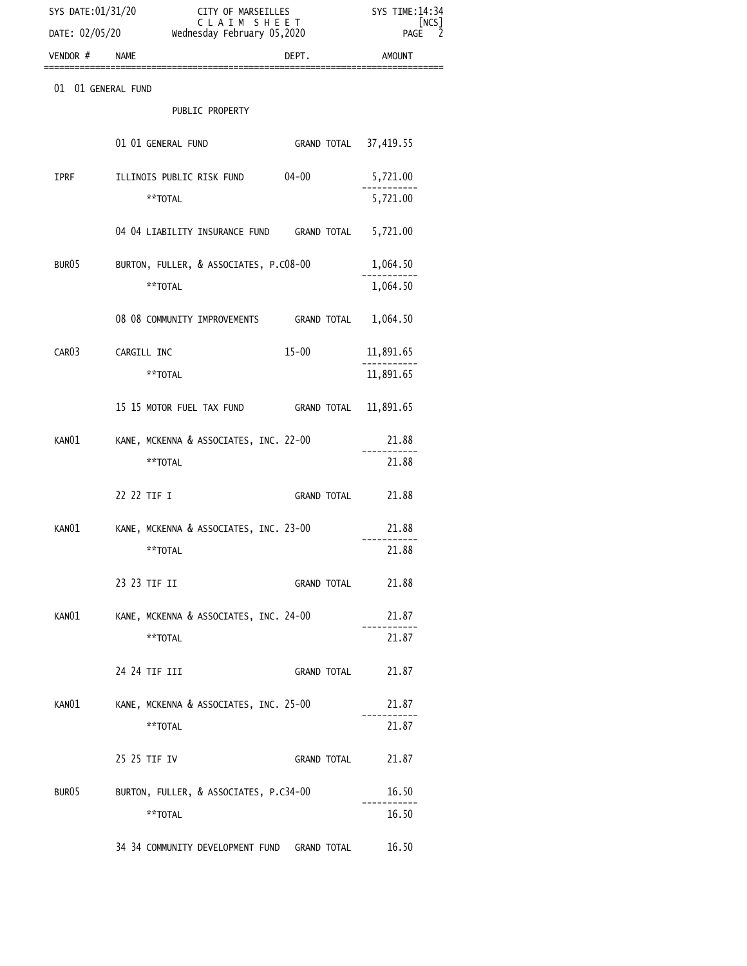| SYS DATE:01/31/20<br>DATE: 02/05/20 | CITY OF MARSEILLES<br>CLAIM SHEET<br>wednesday February 05,2020 | SYS TIME: 14:34<br>[NCS]<br>2<br>PAGE |
|-------------------------------------|-----------------------------------------------------------------|---------------------------------------|
| VENDOR # NAME                       | DEPT.                                                           | <b>AMOUNT</b>                         |
| 01 01 GENERAL FUND                  |                                                                 |                                       |
|                                     | PUBLIC PROPERTY                                                 |                                       |
|                                     | 01 01 GENERAL FUND<br>GRAND TOTAL 37,419.55                     |                                       |
| IPRF                                | ILLINOIS PUBLIC RISK FUND<br>04-00                              | 5,721.00                              |
|                                     | **TOTAL                                                         | 5,721.00                              |
|                                     | 04 04 LIABILITY INSURANCE FUND GRAND TOTAL 5,721.00             |                                       |
| BUR <sub>05</sub>                   | BURTON, FULLER, & ASSOCIATES, P.C08-00                          | 1,064.50                              |
|                                     | **TOTAL                                                         | 1,064.50                              |
|                                     | 08 08 COMMUNITY IMPROVEMENTS GRAND TOTAL                        | 1,064.50                              |
| CAR <sub>03</sub>                   | $15 - 00$<br>CARGILL INC                                        | 11,891.65                             |
|                                     | **TOTAL                                                         | 11,891.65                             |
|                                     | GRAND TOTAL 11,891.65                                           |                                       |
| KAN01                               | KANE, MCKENNA & ASSOCIATES, INC. 22-00                          | 21.88                                 |
|                                     | **TOTAL                                                         | 21.88                                 |
|                                     | 22 22 TIF I<br><b>GRAND TOTAL</b>                               | 21.88                                 |
| KAN01                               | KANE, MCKENNA & ASSOCIATES, INC. 23-00                          | 21.88                                 |
|                                     | **TOTAL                                                         | 21.88                                 |
|                                     | 23 23 TIF II<br><b>GRAND TOTAL</b>                              | 21.88                                 |
| KAN01                               | KANE, MCKENNA & ASSOCIATES, INC. 24-00                          | 21.87                                 |
|                                     | **TOTAL                                                         | 21.87                                 |
|                                     | 24 24 TIF III<br><b>GRAND TOTAL</b>                             | 21.87                                 |
| KANO1                               | KANE, MCKENNA & ASSOCIATES, INC. 25-00                          | 21.87                                 |
|                                     | **TOTAL                                                         | 21.87                                 |
|                                     | 25 25 TIF IV<br><b>GRAND TOTAL</b>                              | 21.87                                 |
| BUR05                               | BURTON, FULLER, & ASSOCIATES, P.C34-00                          | 16.50                                 |
|                                     | **TOTAL                                                         | 16.50                                 |
|                                     | 34 34 COMMUNITY DEVELOPMENT FUND GRAND TOTAL                    | 16.50                                 |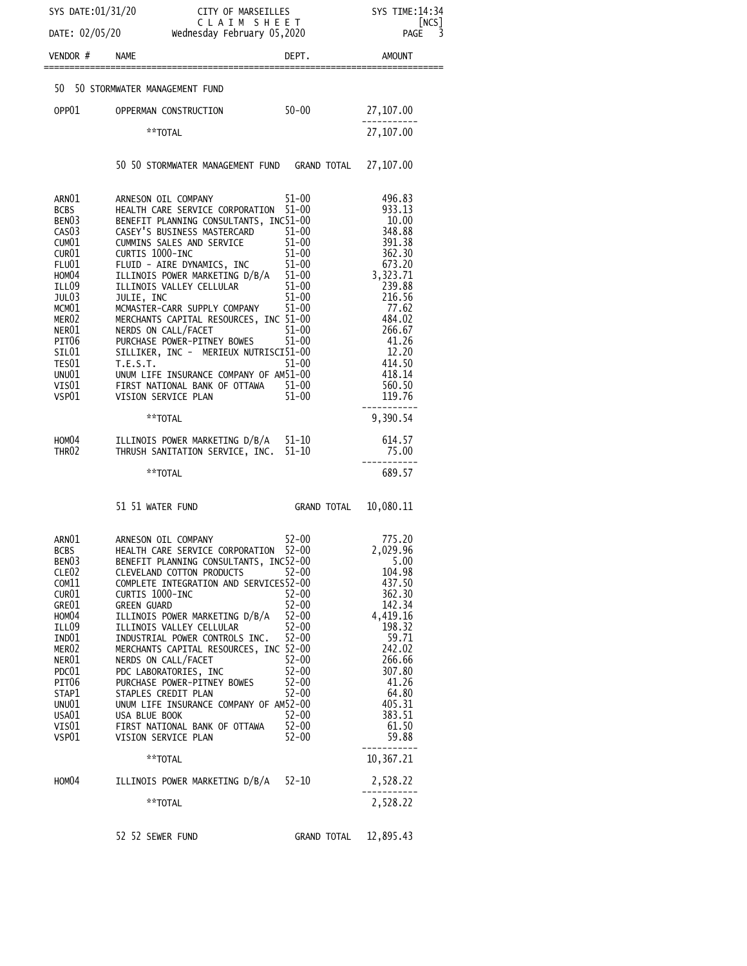| SYS DATE: 01/31/20                     |                                                                                                                 |                        | SYS TIME: 14:34           |
|----------------------------------------|-----------------------------------------------------------------------------------------------------------------|------------------------|---------------------------|
| DATE: 02/05/20                         | ---- vi m <del>u</del> kseilles<br>C L A I M  S H Е Е Т<br>esday February 05,2020<br>Wednesday February 05,2020 |                        | [NCS]<br>3<br><b>PAGE</b> |
| VENDOR # NAME                          |                                                                                                                 | DEPT.                  | AMOUNT                    |
|                                        | 50 50 STORMWATER MANAGEMENT FUND                                                                                |                        |                           |
| OPP01                                  | OPPERMAN CONSTRUCTION                                                                                           | $50 - 00$              | 27,107.00                 |
|                                        | **TOTAL                                                                                                         |                        | 27,107.00                 |
|                                        |                                                                                                                 |                        |                           |
|                                        | 50 50 STORMWATER MANAGEMENT FUND GRAND TOTAL                                                                    |                        | 27,107.00                 |
| ARNO1                                  | ARNESON OIL COMPANY                                                                                             | $51 - 00$              | 496.83                    |
| <b>BCBS</b><br>BENO3                   | HEALTH CARE SERVICE CORPORATION 51-00<br>BENEFIT PLANNING CONSULTANTS, INC51-00                                 |                        | 933.13<br>10.00           |
| CAS <sub>0</sub> 3                     | CASEY'S BUSINESS MASTERCARD 51-00                                                                               |                        | 348.88<br>391.38          |
| CUM <sub>01</sub><br>CUR <sub>01</sub> | CUMMINS SALES AND SERVICE<br>CURTIS 1000-INC                                                                    | $51 - 00$<br>$51 - 00$ | 362.30                    |
| <b>FLU01</b>                           |                                                                                                                 |                        | 673.20                    |
| HOM04                                  | FLUID - AIRE DYNAMICS, INC<br>ILLINOIS POWER MARKETING D/B/A<br>ILLINOIS VALLEY CELLULAR                        |                        | 3,323.71                  |
| ILL09                                  | ILLINOIS VALLEY CELLULAR                                                                                        | $51 - 00$              | 239.88                    |
| JUL03                                  | JULIE, INC                                                                                                      | $51 - 00$              | 216.56                    |
| MCM01<br>MER <sub>02</sub>             | MCMASTER-CARR SUPPLY COMPANY<br>MERCHANTS CAPITAL RESOURCES, INC 51-00                                          | $51 - 00$              | 77.62<br>484.02           |
| NER01                                  | NERDS ON CALL/FACET                                                                                             | $51 - 00$              | 266.67                    |
| PIT <sub>06</sub>                      | PURCHASE POWER-PITNEY BOWES                                                                                     | $51 - 00$              | 41.26                     |
| SIL01                                  | SILLIKER, INC - MERIEUX NUTRISCI51-00                                                                           |                        | 12.20                     |
| TES01                                  | T.E.S.T.                                                                                                        | $51 - 00$              | 414.50                    |
| UNU01<br>VIS01                         | UNUM LIFE INSURANCE COMPANY OF AM51-00<br>FIRST NATIONAL BANK OF OTTAWA 51-00                                   |                        | 418.14<br>560.50          |
| VSP01                                  | VISION SERVICE PLAN                                                                                             | $51 - 00$              | 119.76                    |
|                                        | **TOTAL                                                                                                         |                        | 9,390.54                  |
| HOMO4<br>THR <sub>02</sub>             | ILLINOIS POWER MARKETING D/B/A 51-10<br>THRUSH SANITATION SERVICE, INC. 51-10                                   |                        | 614.57<br>75.00           |
|                                        | **TOTAL                                                                                                         |                        | 689.57                    |
|                                        |                                                                                                                 |                        |                           |
|                                        | 51 51 WATER FUND                                                                                                | GRAND TOTAL            | 10,080.11                 |
| ARN01                                  | ARNESON OIL COMPANY                                                                                             | $52 - 00$              | 775.20                    |
| <b>BCBS</b>                            | HEALTH CARE SERVICE CORPORATION 52-00                                                                           |                        | 2,029.96                  |
| BEN <sub>03</sub><br>CLE <sub>02</sub> | BENEFIT PLANNING CONSULTANTS, INC52-00<br>CLEVELAND COTTON PRODUCTS                                             | $52 - 00$              | 5.00<br>104.98            |
| COM11                                  | COMPLETE INTEGRATION AND SERVICES52-00                                                                          |                        | 437.50                    |
| CUR <sub>01</sub>                      | CURTIS 1000-INC                                                                                                 | 52-00                  | 362.30                    |
| GRE01                                  | <b>GREEN GUARD</b>                                                                                              | $52 - 00$              | 142.34                    |
| HOM <sub>04</sub>                      | ILLINOIS POWER MARKETING D/B/A                                                                                  | $52 - 00$              | 4,419.16                  |
| ILL09<br>IND01                         | ILLINOIS VALLEY CELLULAR<br>INDUSTRIAL POWER CONTROLS INC.                                                      | $52 - 00$<br>$52 - 00$ | 198.32<br>59.71           |
| MER <sub>02</sub>                      | MERCHANTS CAPITAL RESOURCES, INC 52-00                                                                          |                        | 242.02                    |
| NER01                                  | NERDS ON CALL/FACET                                                                                             | $52 - 00$              | 266.66                    |
| PDC01                                  | PDC LABORATORIES, INC                                                                                           | $52 - 00$              | 307.80                    |
| PIT <sub>06</sub>                      | PURCHASE POWER-PITNEY BOWES                                                                                     | $52 - 00$              | 41.26                     |
| STAP1<br>UNU01                         | STAPLES CREDIT PLAN<br>UNUM LIFE INSURANCE COMPANY OF AM52-00                                                   | $52 - 00$              | 64.80<br>405.31           |
| USA01                                  | USA BLUE BOOK                                                                                                   | $52 - 00$              | 383.51                    |
| VIS01                                  | FIRST NATIONAL BANK OF OTTAWA                                                                                   | $52 - 00$              | 61.50                     |
| VSP01                                  | VISION SERVICE PLAN                                                                                             | $52 - 00$              | 59.88                     |
|                                        | **TOTAL                                                                                                         |                        | 10,367.21                 |
| HOM04                                  | ILLINOIS POWER MARKETING D/B/A 52-10                                                                            |                        | 2,528.22                  |
|                                        | **TOTAL                                                                                                         |                        | 2,528.22                  |
|                                        | 52 52 SEWER FUND                                                                                                | GRAND TOTAL 12,895.43  |                           |